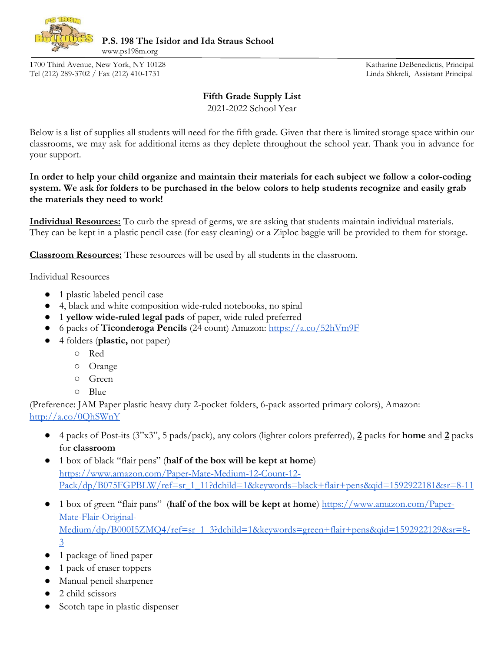

**P.S. 198 The Isidor and Ida Straus School** 

1700 Third Avenue, New York, NY 10128 Katharine DeBenedictis, Principal Tel (212) 289-3702 / Fax (212) 410-1731 Linda Shkreli, Assistant Principal

www.ps198m.org

## **Fifth Grade Supply List**

2021-2022 School Year

Below is a list of supplies all students will need for the fifth grade. Given that there is limited storage space within our classrooms, we may ask for additional items as they deplete throughout the school year. Thank you in advance for your support.

**In order to help your child organize and maintain their materials for each subject we follow a color-coding system. We ask for folders to be purchased in the below colors to help students recognize and easily grab the materials they need to work!** 

**Individual Resources:** To curb the spread of germs, we are asking that students maintain individual materials. They can be kept in a plastic pencil case (for easy cleaning) or a Ziploc baggie will be provided to them for storage.

**Classroom Resources:** These resources will be used by all students in the classroom.

## Individual Resources

- 1 plastic labeled pencil case
- 4, black and white composition wide-ruled notebooks, no spiral
- 1 **yellow wide-ruled legal pads** of paper, wide ruled preferred
- 6 packs of **Ticonderoga Pencils** (24 count) Amazon:<https://a.co/52hVm9F>
- 4 folders (**plastic,** not paper)
	- Red
	- Orange
	- Green
	- Blue

(Preference: JAM Paper plastic heavy duty 2-pocket folders, 6-pack assorted primary colors), Amazon: <http://a.co/0QhSWnY>

- 4 packs of Post-its (3"x3", 5 pads/pack), any colors (lighter colors preferred), **2** packs for **home** and **2** packs for **classroom**
- 1 box of black "flair pens" (**half of the box will be kept at home**) [https://www.amazon.com/Paper-Mate-Medium-12-Count-12-](https://www.amazon.com/Paper-Mate-Medium-12-Count-12-Pack/dp/B075FGPBLW/ref=sr_1_11?dchild=1&keywords=black+flair+pens&qid=1592922181&sr=8-11) [Pack/dp/B075FGPBLW/ref=sr\\_1\\_11?dchild=1&keywords=black+flair+pens&qid=1592922181&sr=8-11](https://www.amazon.com/Paper-Mate-Medium-12-Count-12-Pack/dp/B075FGPBLW/ref=sr_1_11?dchild=1&keywords=black+flair+pens&qid=1592922181&sr=8-11)
- 1 box of green "flair pans" (**half of the box will be kept at home**) [https://www.amazon.com/Paper-](https://www.amazon.com/Paper-Mate-Flair-Original-Medium/dp/B000I5ZMQ4/ref=sr_1_3?dchild=1&keywords=green+flair+pens&qid=1592922129&sr=8-3)[Mate-Flair-Original-](https://www.amazon.com/Paper-Mate-Flair-Original-Medium/dp/B000I5ZMQ4/ref=sr_1_3?dchild=1&keywords=green+flair+pens&qid=1592922129&sr=8-3)[Medium/dp/B000I5ZMQ4/ref=sr\\_1\\_3?dchild=1&keywords=green+flair+pens&qid=1592922129&sr=8-](https://www.amazon.com/Paper-Mate-Flair-Original-Medium/dp/B000I5ZMQ4/ref=sr_1_3?dchild=1&keywords=green+flair+pens&qid=1592922129&sr=8-3) [3](https://www.amazon.com/Paper-Mate-Flair-Original-Medium/dp/B000I5ZMQ4/ref=sr_1_3?dchild=1&keywords=green+flair+pens&qid=1592922129&sr=8-3)
- 1 package of lined paper
- 1 pack of eraser toppers
- Manual pencil sharpener
- 2 child scissors
- Scotch tape in plastic dispenser